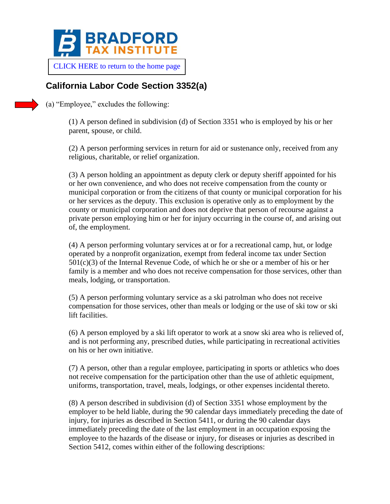

[CLICK HERE to return to the home page](https://www.bradfordtaxinstitute.com)

## **California Labor Code Section 3352(a)**

(a) "Employee," excludes the following:

(1) A person defined in subdivision (d) of Section 3351 who is employed by his or her parent, spouse, or child.

(2) A person performing services in return for aid or sustenance only, received from any religious, charitable, or relief organization.

(3) A person holding an appointment as deputy clerk or deputy sheriff appointed for his or her own convenience, and who does not receive compensation from the county or municipal corporation or from the citizens of that county or municipal corporation for his or her services as the deputy. This exclusion is operative only as to employment by the county or municipal corporation and does not deprive that person of recourse against a private person employing him or her for injury occurring in the course of, and arising out of, the employment.

(4) A person performing voluntary services at or for a recreational camp, hut, or lodge operated by a nonprofit organization, exempt from federal income tax under Section  $501(c)(3)$  of the Internal Revenue Code, of which he or she or a member of his or her family is a member and who does not receive compensation for those services, other than meals, lodging, or transportation.

(5) A person performing voluntary service as a ski patrolman who does not receive compensation for those services, other than meals or lodging or the use of ski tow or ski lift facilities.

(6) A person employed by a ski lift operator to work at a snow ski area who is relieved of, and is not performing any, prescribed duties, while participating in recreational activities on his or her own initiative.

(7) A person, other than a regular employee, participating in sports or athletics who does not receive compensation for the participation other than the use of athletic equipment, uniforms, transportation, travel, meals, lodgings, or other expenses incidental thereto.

(8) A person described in subdivision (d) of Section 3351 whose employment by the employer to be held liable, during the 90 calendar days immediately preceding the date of injury, for injuries as described in Section 5411, or during the 90 calendar days immediately preceding the date of the last employment in an occupation exposing the employee to the hazards of the disease or injury, for diseases or injuries as described in Section 5412, comes within either of the following descriptions: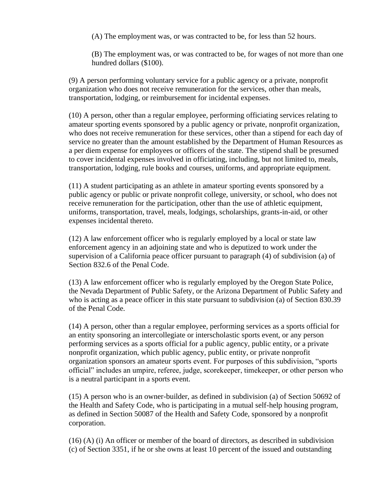(A) The employment was, or was contracted to be, for less than 52 hours.

(B) The employment was, or was contracted to be, for wages of not more than one hundred dollars (\$100).

(9) A person performing voluntary service for a public agency or a private, nonprofit organization who does not receive remuneration for the services, other than meals, transportation, lodging, or reimbursement for incidental expenses.

(10) A person, other than a regular employee, performing officiating services relating to amateur sporting events sponsored by a public agency or private, nonprofit organization, who does not receive remuneration for these services, other than a stipend for each day of service no greater than the amount established by the Department of Human Resources as a per diem expense for employees or officers of the state. The stipend shall be presumed to cover incidental expenses involved in officiating, including, but not limited to, meals, transportation, lodging, rule books and courses, uniforms, and appropriate equipment.

(11) A student participating as an athlete in amateur sporting events sponsored by a public agency or public or private nonprofit college, university, or school, who does not receive remuneration for the participation, other than the use of athletic equipment, uniforms, transportation, travel, meals, lodgings, scholarships, grants-in-aid, or other expenses incidental thereto.

(12) A law enforcement officer who is regularly employed by a local or state law enforcement agency in an adjoining state and who is deputized to work under the supervision of a California peace officer pursuant to paragraph (4) of subdivision (a) of Section 832.6 of the Penal Code.

(13) A law enforcement officer who is regularly employed by the Oregon State Police, the Nevada Department of Public Safety, or the Arizona Department of Public Safety and who is acting as a peace officer in this state pursuant to subdivision (a) of Section 830.39 of the Penal Code.

(14) A person, other than a regular employee, performing services as a sports official for an entity sponsoring an intercollegiate or interscholastic sports event, or any person performing services as a sports official for a public agency, public entity, or a private nonprofit organization, which public agency, public entity, or private nonprofit organization sponsors an amateur sports event. For purposes of this subdivision, "sports official" includes an umpire, referee, judge, scorekeeper, timekeeper, or other person who is a neutral participant in a sports event.

(15) A person who is an owner-builder, as defined in subdivision (a) of Section 50692 of the Health and Safety Code, who is participating in a mutual self-help housing program, as defined in Section 50087 of the Health and Safety Code, sponsored by a nonprofit corporation.

(16) (A) (i) An officer or member of the board of directors, as described in subdivision (c) of Section 3351, if he or she owns at least 10 percent of the issued and outstanding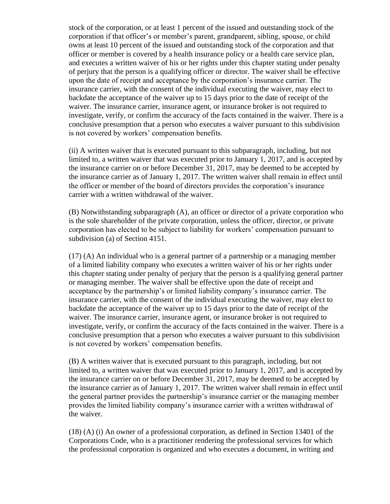stock of the corporation, or at least 1 percent of the issued and outstanding stock of the corporation if that officer's or member's parent, grandparent, sibling, spouse, or child owns at least 10 percent of the issued and outstanding stock of the corporation and that officer or member is covered by a health insurance policy or a health care service plan, and executes a written waiver of his or her rights under this chapter stating under penalty of perjury that the person is a qualifying officer or director. The waiver shall be effective upon the date of receipt and acceptance by the corporation's insurance carrier. The insurance carrier, with the consent of the individual executing the waiver, may elect to backdate the acceptance of the waiver up to 15 days prior to the date of receipt of the waiver. The insurance carrier, insurance agent, or insurance broker is not required to investigate, verify, or confirm the accuracy of the facts contained in the waiver. There is a conclusive presumption that a person who executes a waiver pursuant to this subdivision is not covered by workers' compensation benefits.

(ii) A written waiver that is executed pursuant to this subparagraph, including, but not limited to, a written waiver that was executed prior to January 1, 2017, and is accepted by the insurance carrier on or before December 31, 2017, may be deemed to be accepted by the insurance carrier as of January 1, 2017. The written waiver shall remain in effect until the officer or member of the board of directors provides the corporation's insurance carrier with a written withdrawal of the waiver.

(B) Notwithstanding subparagraph (A), an officer or director of a private corporation who is the sole shareholder of the private corporation, unless the officer, director, or private corporation has elected to be subject to liability for workers' compensation pursuant to subdivision (a) of Section 4151.

(17) (A) An individual who is a general partner of a partnership or a managing member of a limited liability company who executes a written waiver of his or her rights under this chapter stating under penalty of perjury that the person is a qualifying general partner or managing member. The waiver shall be effective upon the date of receipt and acceptance by the partnership's or limited liability company's insurance carrier. The insurance carrier, with the consent of the individual executing the waiver, may elect to backdate the acceptance of the waiver up to 15 days prior to the date of receipt of the waiver. The insurance carrier, insurance agent, or insurance broker is not required to investigate, verify, or confirm the accuracy of the facts contained in the waiver. There is a conclusive presumption that a person who executes a waiver pursuant to this subdivision is not covered by workers' compensation benefits.

(B) A written waiver that is executed pursuant to this paragraph, including, but not limited to, a written waiver that was executed prior to January 1, 2017, and is accepted by the insurance carrier on or before December 31, 2017, may be deemed to be accepted by the insurance carrier as of January 1, 2017. The written waiver shall remain in effect until the general partner provides the partnership's insurance carrier or the managing member provides the limited liability company's insurance carrier with a written withdrawal of the waiver.

(18) (A) (i) An owner of a professional corporation, as defined in Section 13401 of the Corporations Code, who is a practitioner rendering the professional services for which the professional corporation is organized and who executes a document, in writing and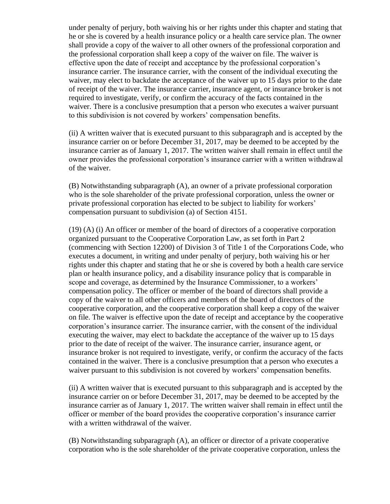under penalty of perjury, both waiving his or her rights under this chapter and stating that he or she is covered by a health insurance policy or a health care service plan. The owner shall provide a copy of the waiver to all other owners of the professional corporation and the professional corporation shall keep a copy of the waiver on file. The waiver is effective upon the date of receipt and acceptance by the professional corporation's insurance carrier. The insurance carrier, with the consent of the individual executing the waiver, may elect to backdate the acceptance of the waiver up to 15 days prior to the date of receipt of the waiver. The insurance carrier, insurance agent, or insurance broker is not required to investigate, verify, or confirm the accuracy of the facts contained in the waiver. There is a conclusive presumption that a person who executes a waiver pursuant to this subdivision is not covered by workers' compensation benefits.

(ii) A written waiver that is executed pursuant to this subparagraph and is accepted by the insurance carrier on or before December 31, 2017, may be deemed to be accepted by the insurance carrier as of January 1, 2017. The written waiver shall remain in effect until the owner provides the professional corporation's insurance carrier with a written withdrawal of the waiver.

(B) Notwithstanding subparagraph (A), an owner of a private professional corporation who is the sole shareholder of the private professional corporation, unless the owner or private professional corporation has elected to be subject to liability for workers' compensation pursuant to subdivision (a) of Section 4151.

(19) (A) (i) An officer or member of the board of directors of a cooperative corporation organized pursuant to the Cooperative Corporation Law, as set forth in Part 2 (commencing with Section 12200) of Division 3 of Title 1 of the Corporations Code, who executes a document, in writing and under penalty of perjury, both waiving his or her rights under this chapter and stating that he or she is covered by both a health care service plan or health insurance policy, and a disability insurance policy that is comparable in scope and coverage, as determined by the Insurance Commissioner, to a workers' compensation policy. The officer or member of the board of directors shall provide a copy of the waiver to all other officers and members of the board of directors of the cooperative corporation, and the cooperative corporation shall keep a copy of the waiver on file. The waiver is effective upon the date of receipt and acceptance by the cooperative corporation's insurance carrier. The insurance carrier, with the consent of the individual executing the waiver, may elect to backdate the acceptance of the waiver up to 15 days prior to the date of receipt of the waiver. The insurance carrier, insurance agent, or insurance broker is not required to investigate, verify, or confirm the accuracy of the facts contained in the waiver. There is a conclusive presumption that a person who executes a waiver pursuant to this subdivision is not covered by workers' compensation benefits.

(ii) A written waiver that is executed pursuant to this subparagraph and is accepted by the insurance carrier on or before December 31, 2017, may be deemed to be accepted by the insurance carrier as of January 1, 2017. The written waiver shall remain in effect until the officer or member of the board provides the cooperative corporation's insurance carrier with a written withdrawal of the waiver.

(B) Notwithstanding subparagraph (A), an officer or director of a private cooperative corporation who is the sole shareholder of the private cooperative corporation, unless the